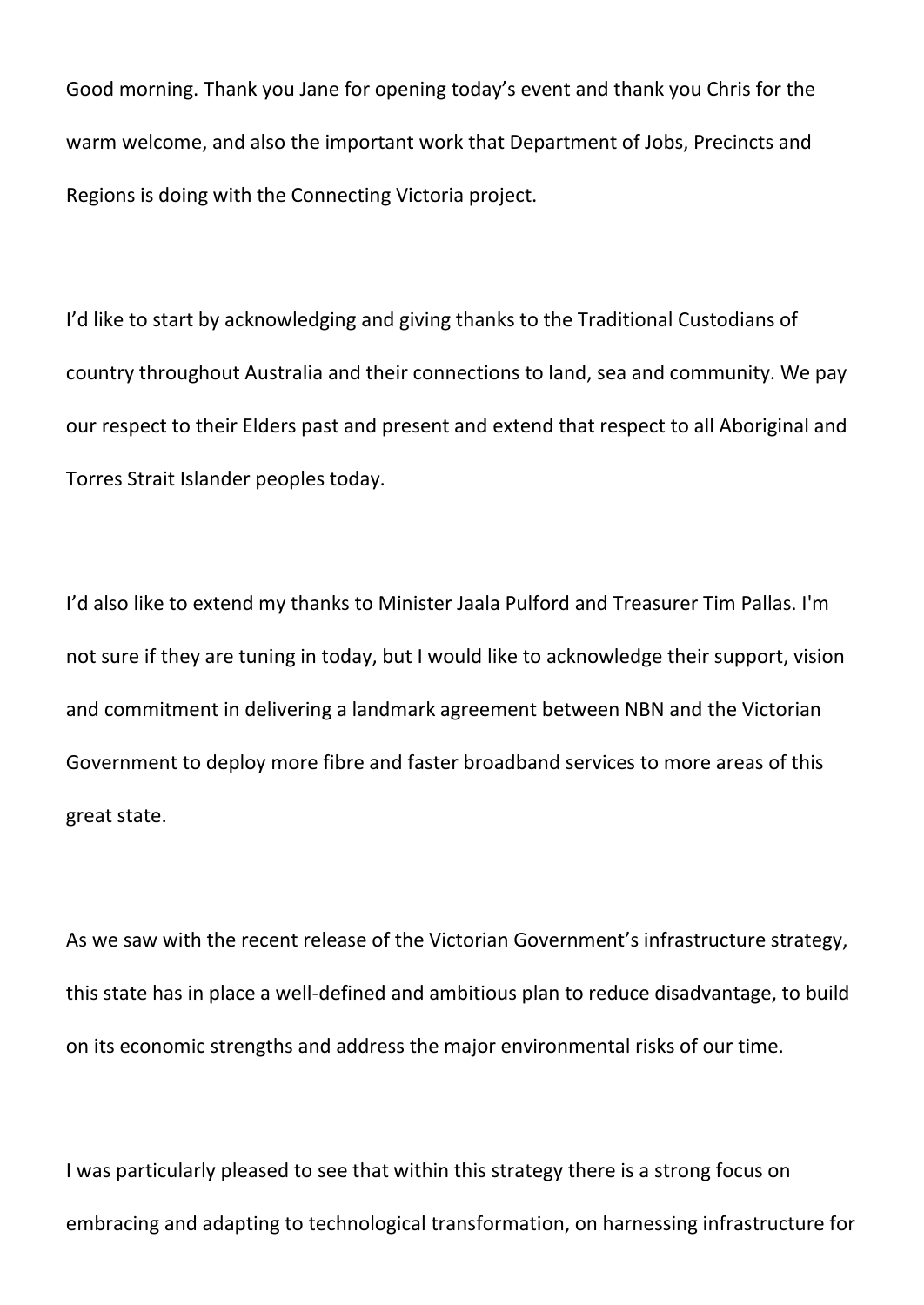Good morning. Thank you Jane for opening today's event and thank you Chris for the warm welcome, and also the important work that Department of Jobs, Precincts and Regions is doing with the Connecting Victoria project.

I'd like to start by acknowledging and giving thanks to the Traditional Custodians of country throughout Australia and their connections to land, sea and community. We pay our respect to their Elders past and present and extend that respect to all Aboriginal and Torres Strait Islander peoples today.

I'd also like to extend my thanks to Minister Jaala Pulford and Treasurer Tim Pallas. I'm not sure if they are tuning in today, but I would like to acknowledge their support, vision and commitment in delivering a landmark agreement between NBN and the Victorian Government to deploy more fibre and faster broadband services to more areas of this great state.

As we saw with the recent release of the Victorian Government's infrastructure strategy, this state has in place a well-defined and ambitious plan to reduce disadvantage, to build on its economic strengths and address the major environmental risks of our time.

I was particularly pleased to see that within this strategy there is a strong focus on embracing and adapting to technological transformation, on harnessing infrastructure for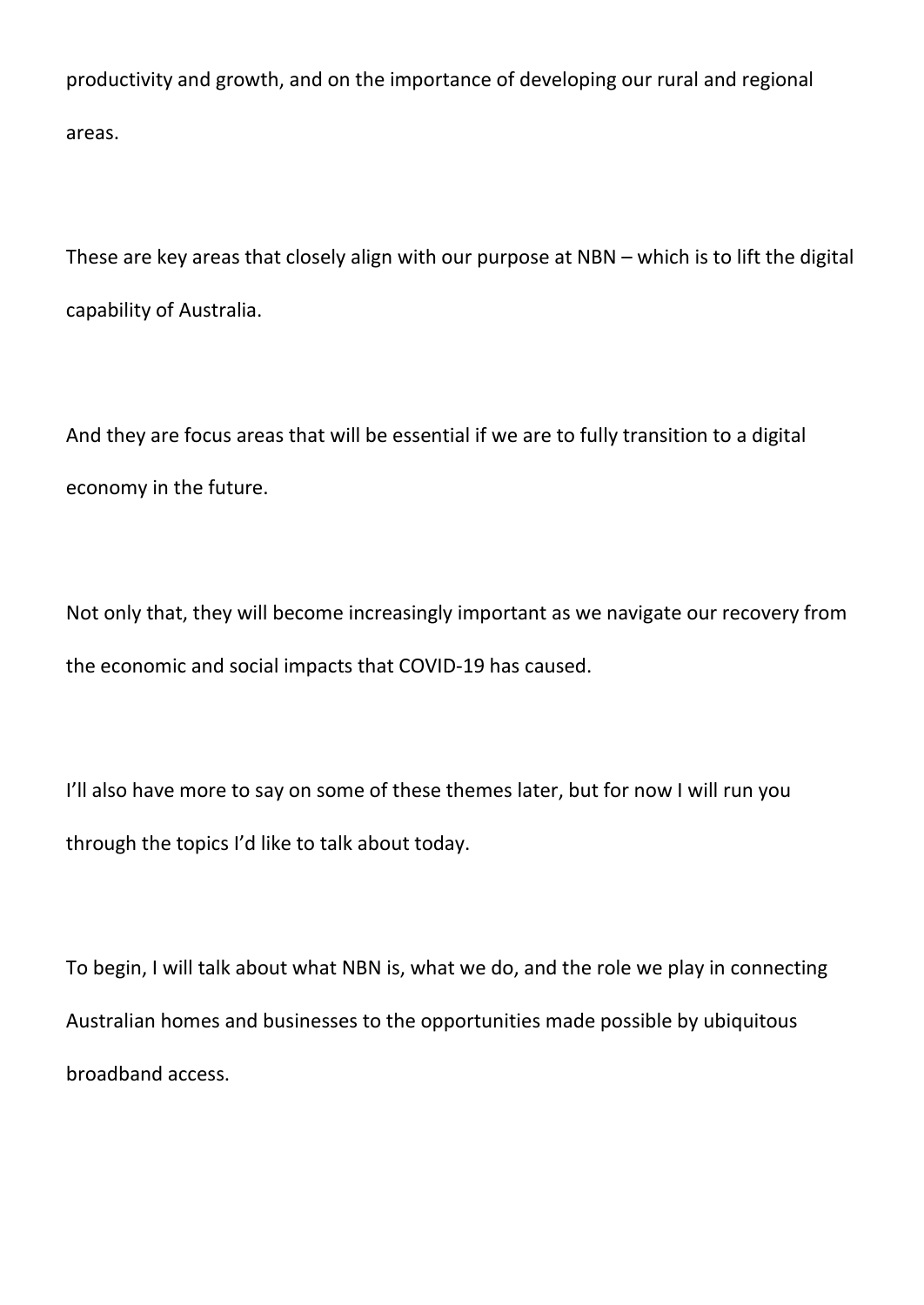productivity and growth, and on the importance of developing our rural and regional areas.

These are key areas that closely align with our purpose at NBN – which is to lift the digital capability of Australia.

And they are focus areas that will be essential if we are to fully transition to a digital economy in the future.

Not only that, they will become increasingly important as we navigate our recovery from the economic and social impacts that COVID-19 has caused.

I'll also have more to say on some of these themes later, but for now I will run you through the topics I'd like to talk about today.

To begin, I will talk about what NBN is, what we do, and the role we play in connecting Australian homes and businesses to the opportunities made possible by ubiquitous broadband access.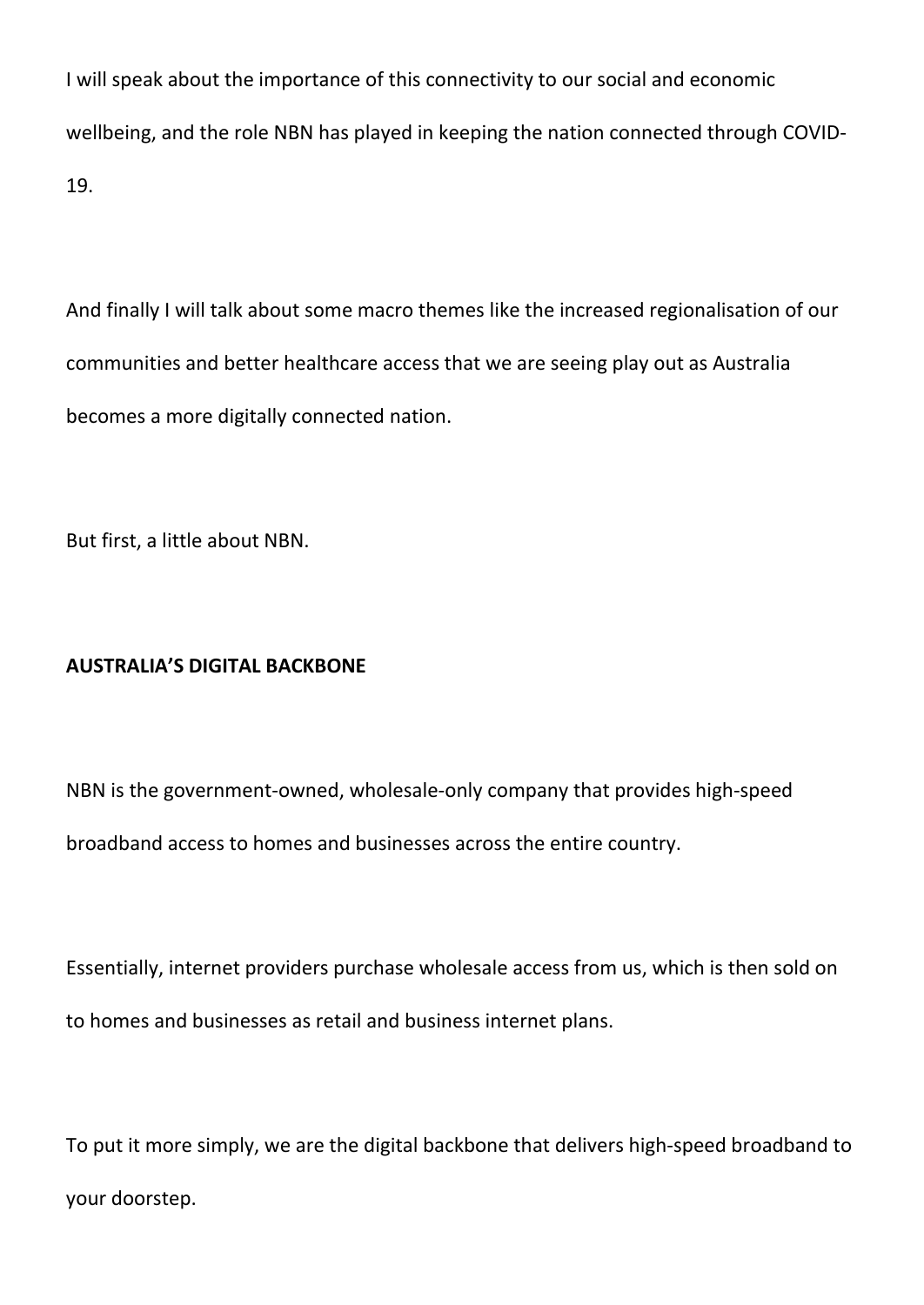I will speak about the importance of this connectivity to our social and economic wellbeing, and the role NBN has played in keeping the nation connected through COVID-19.

And finally I will talk about some macro themes like the increased regionalisation of our communities and better healthcare access that we are seeing play out as Australia becomes a more digitally connected nation.

But first, a little about NBN.

# **AUSTRALIA'S DIGITAL BACKBONE**

NBN is the government-owned, wholesale-only company that provides high-speed broadband access to homes and businesses across the entire country.

Essentially, internet providers purchase wholesale access from us, which is then sold on to homes and businesses as retail and business internet plans.

To put it more simply, we are the digital backbone that delivers high-speed broadband to your doorstep.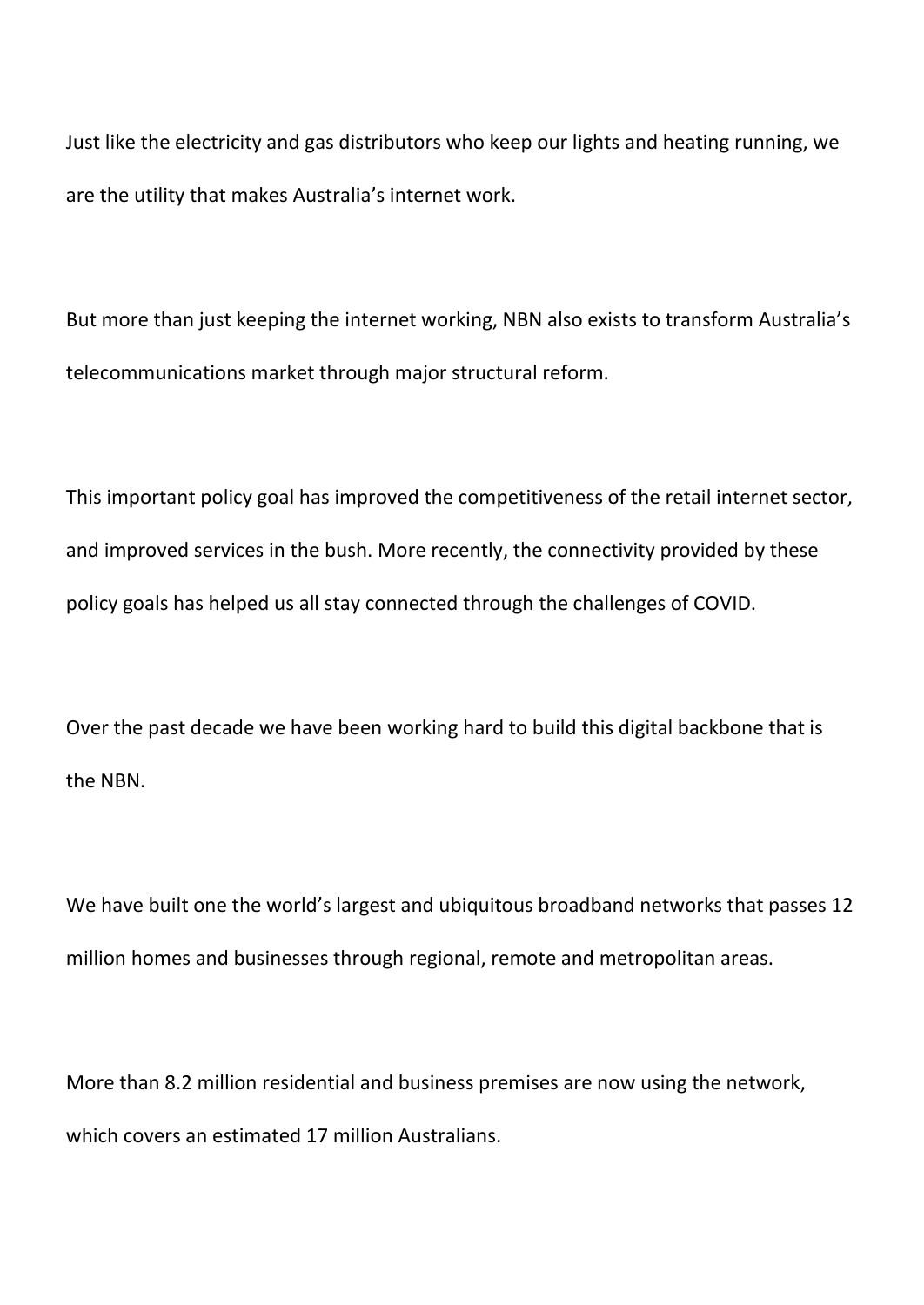Just like the electricity and gas distributors who keep our lights and heating running, we are the utility that makes Australia's internet work.

But more than just keeping the internet working, NBN also exists to transform Australia's telecommunications market through major structural reform.

This important policy goal has improved the competitiveness of the retail internet sector, and improved services in the bush. More recently, the connectivity provided by these policy goals has helped us all stay connected through the challenges of COVID.

Over the past decade we have been working hard to build this digital backbone that is the NBN.

We have built one the world's largest and ubiquitous broadband networks that passes 12 million homes and businesses through regional, remote and metropolitan areas.

More than 8.2 million residential and business premises are now using the network, which covers an estimated 17 million Australians.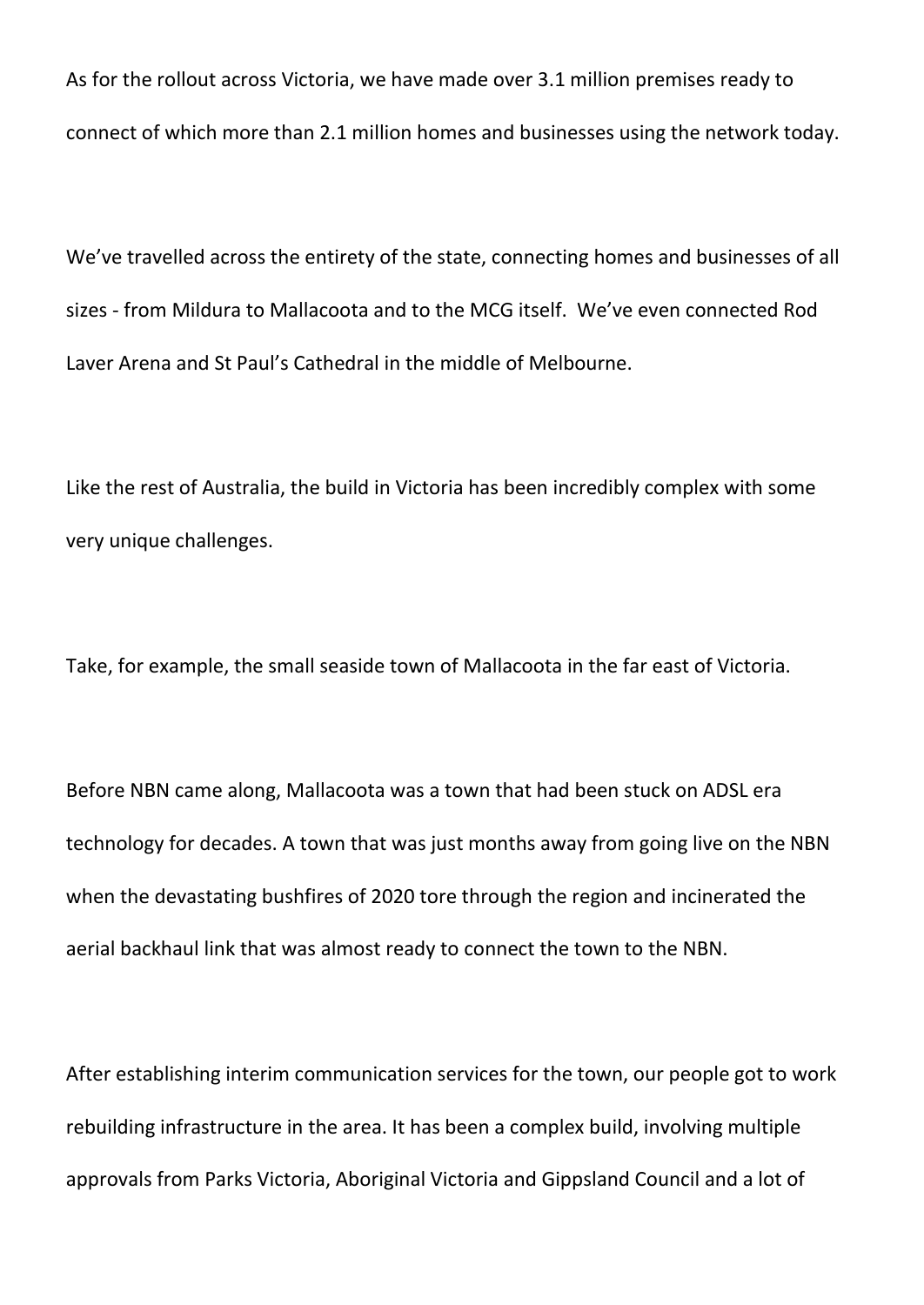As for the rollout across Victoria, we have made over 3.1 million premises ready to connect of which more than 2.1 million homes and businesses using the network today.

We've travelled across the entirety of the state, connecting homes and businesses of all sizes - from Mildura to Mallacoota and to the MCG itself. We've even connected Rod Laver Arena and St Paul's Cathedral in the middle of Melbourne.

Like the rest of Australia, the build in Victoria has been incredibly complex with some very unique challenges.

Take, for example, the small seaside town of Mallacoota in the far east of Victoria.

Before NBN came along, Mallacoota was a town that had been stuck on ADSL era technology for decades. A town that was just months away from going live on the NBN when the devastating bushfires of 2020 tore through the region and incinerated the aerial backhaul link that was almost ready to connect the town to the NBN.

After establishing interim communication services for the town, our people got to work rebuilding infrastructure in the area. It has been a complex build, involving multiple approvals from Parks Victoria, Aboriginal Victoria and Gippsland Council and a lot of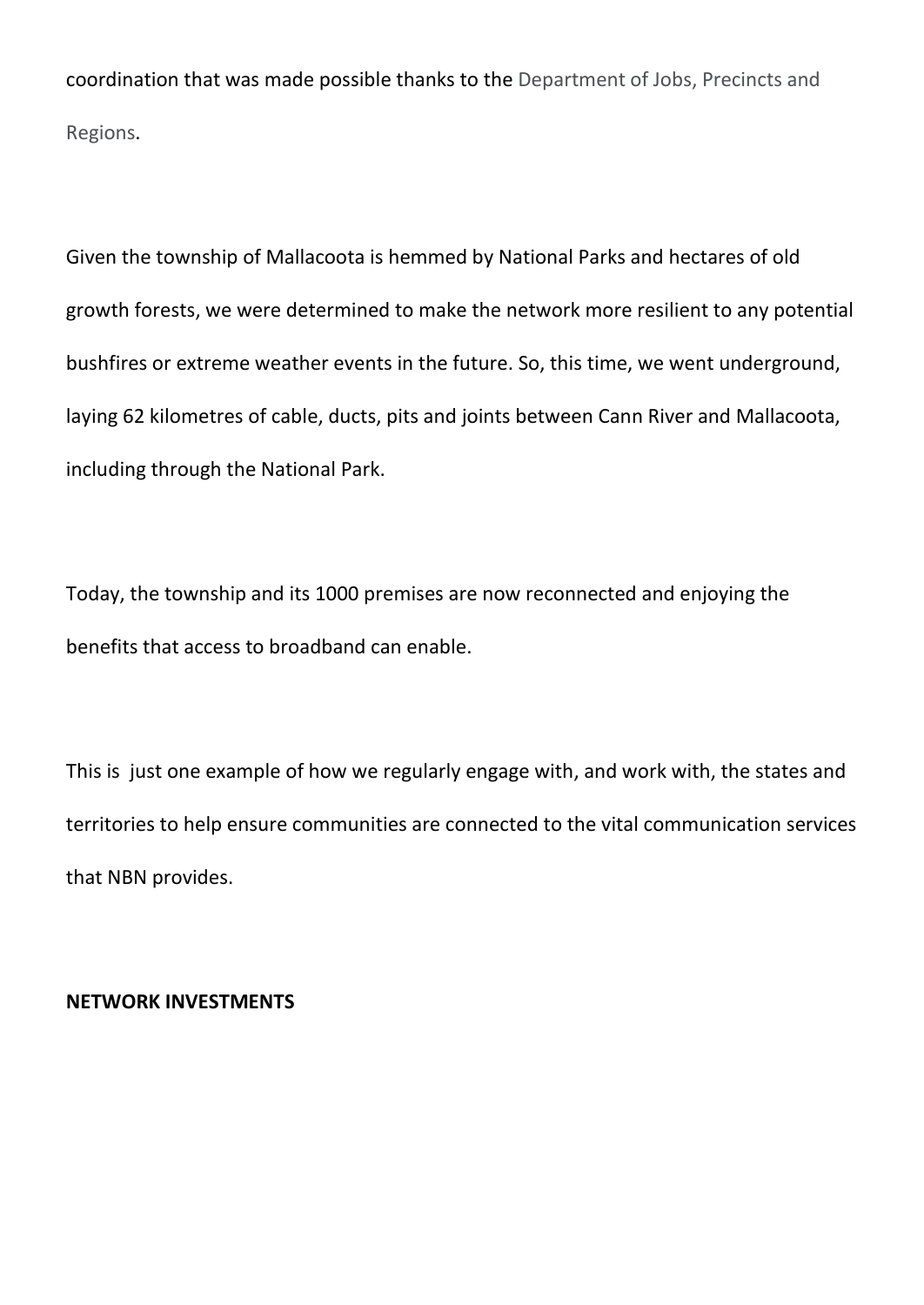coordination that was made possible thanks to the Department of Jobs, Precincts and Regions.

Given the township of Mallacoota is hemmed by National Parks and hectares of old growth forests, we were determined to make the network more resilient to any potential bushfires or extreme weather events in the future. So, this time, we went underground, laying 62 kilometres of cable, ducts, pits and joints between Cann River and Mallacoota, including through the National Park.

Today, the township and its 1000 premises are now reconnected and enjoying the benefits that access to broadband can enable.

This is just one example of how we regularly engage with, and work with, the states and territories to help ensure communities are connected to the vital communication services that NBN provides.

### **NETWORK INVESTMENTS**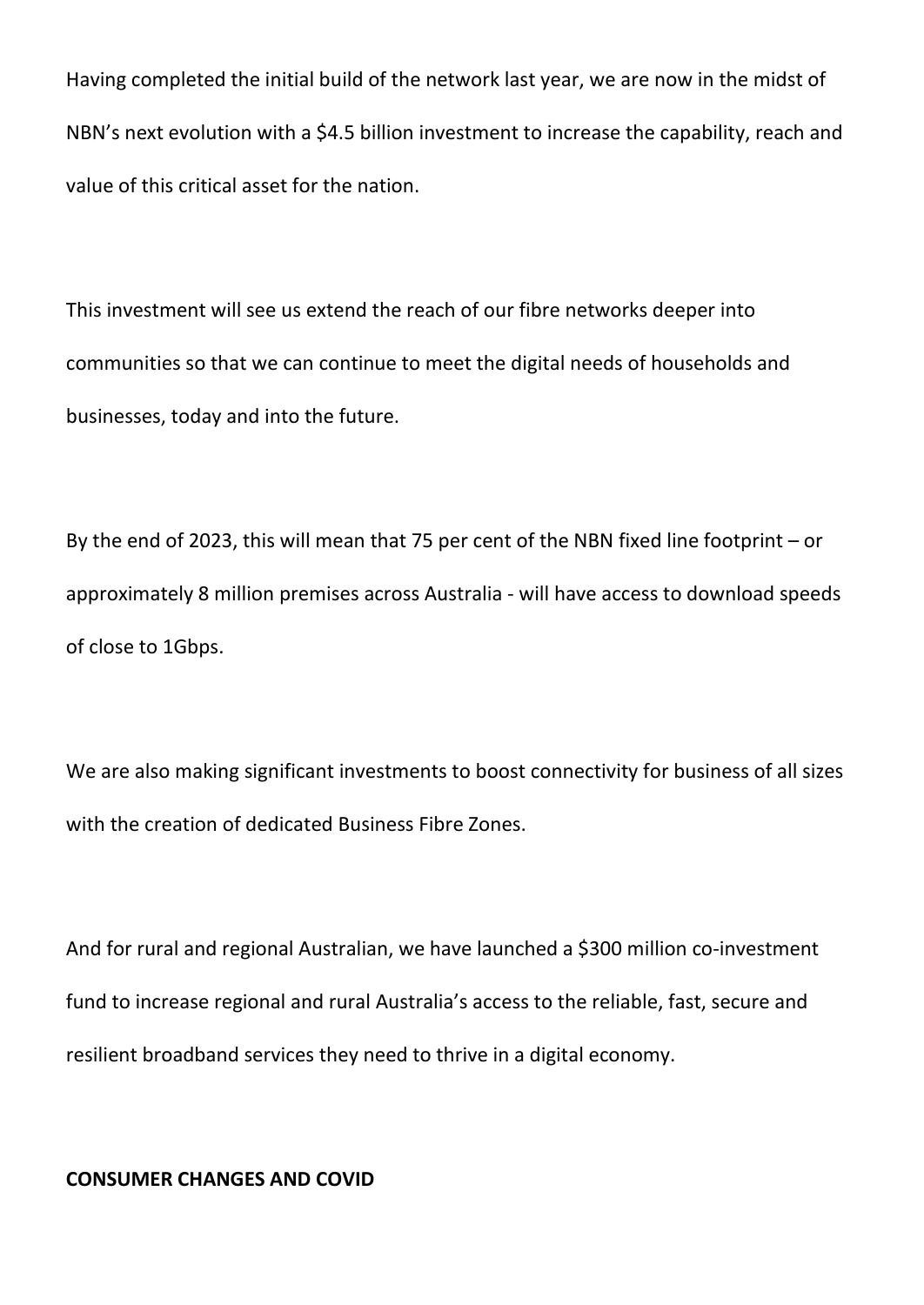Having completed the initial build of the network last year, we are now in the midst of NBN's next evolution with a \$4.5 billion investment to increase the capability, reach and value of this critical asset for the nation.

This investment will see us extend the reach of our fibre networks deeper into communities so that we can continue to meet the digital needs of households and businesses, today and into the future.

By the end of 2023, this will mean that 75 per cent of the NBN fixed line footprint – or approximately 8 million premises across Australia - will have access to download speeds of close to 1Gbps.

We are also making significant investments to boost connectivity for business of all sizes with the creation of dedicated Business Fibre Zones.

And for rural and regional Australian, we have launched a \$300 million co-investment fund to increase regional and rural Australia's access to the reliable, fast, secure and resilient broadband services they need to thrive in a digital economy.

### **CONSUMER CHANGES AND COVID**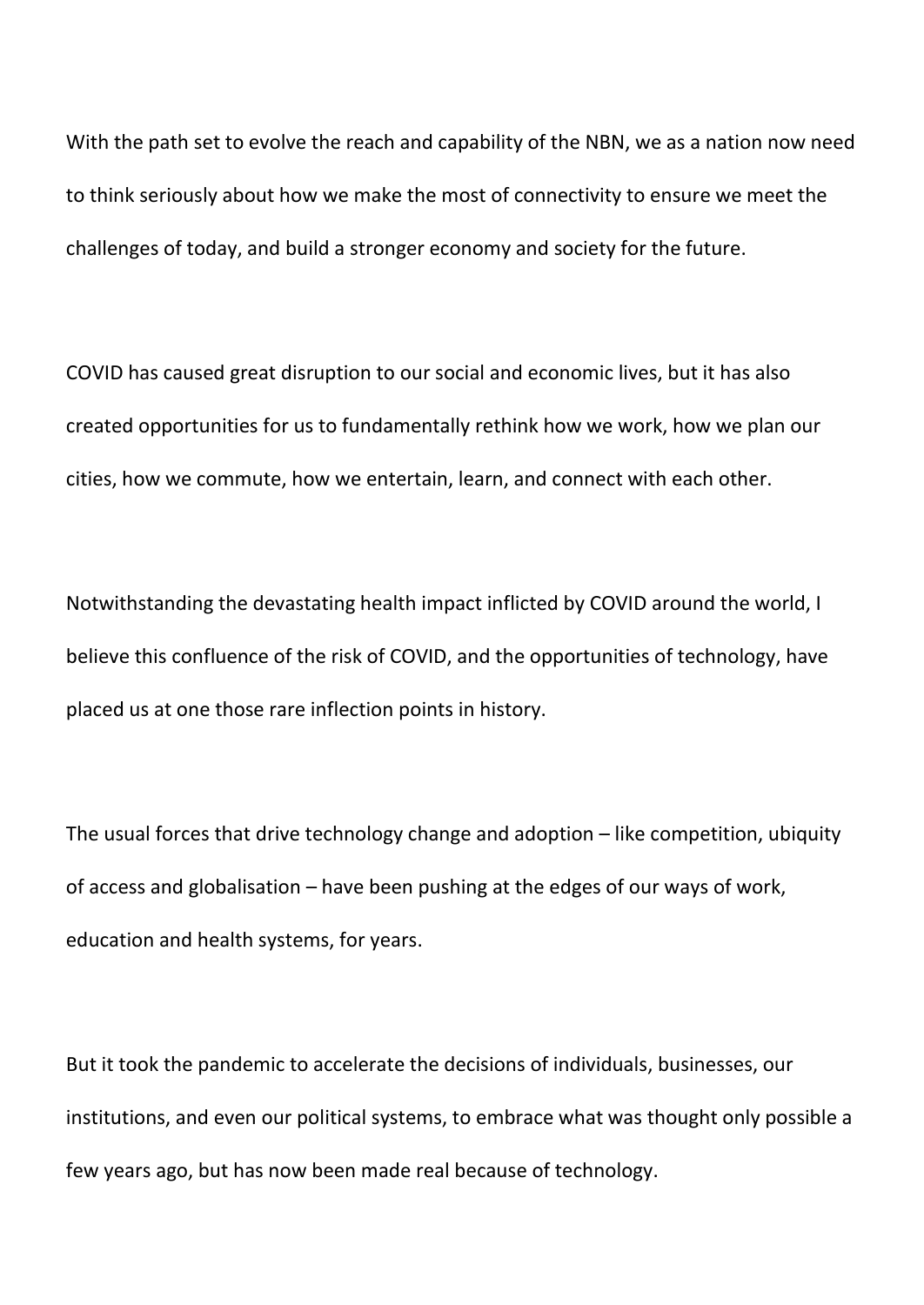With the path set to evolve the reach and capability of the NBN, we as a nation now need to think seriously about how we make the most of connectivity to ensure we meet the challenges of today, and build a stronger economy and society for the future.

COVID has caused great disruption to our social and economic lives, but it has also created opportunities for us to fundamentally rethink how we work, how we plan our cities, how we commute, how we entertain, learn, and connect with each other.

Notwithstanding the devastating health impact inflicted by COVID around the world, I believe this confluence of the risk of COVID, and the opportunities of technology, have placed us at one those rare inflection points in history.

The usual forces that drive technology change and adoption – like competition, ubiquity of access and globalisation – have been pushing at the edges of our ways of work, education and health systems, for years.

But it took the pandemic to accelerate the decisions of individuals, businesses, our institutions, and even our political systems, to embrace what was thought only possible a few years ago, but has now been made real because of technology.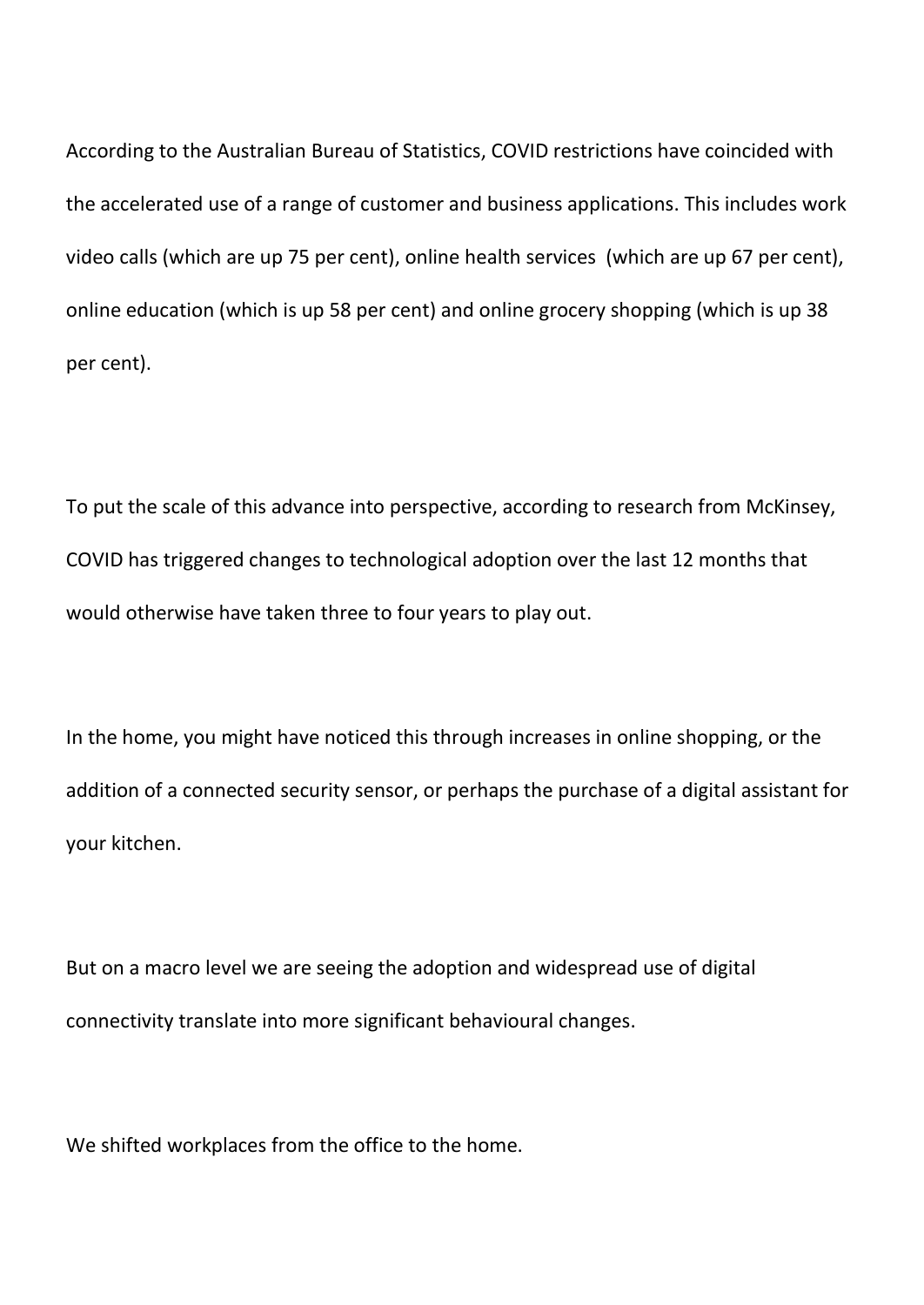According to the Australian Bureau of Statistics, COVID restrictions have coincided with the accelerated use of a range of customer and business applications. This includes work video calls (which are up 75 per cent), online health services (which are up 67 per cent), online education (which is up 58 per cent) and online grocery shopping (which is up 38 per cent).

To put the scale of this advance into perspective, according to research from McKinsey, COVID has triggered changes to technological adoption over the last 12 months that would otherwise have taken three to four years to play out.

In the home, you might have noticed this through increases in online shopping, or the addition of a connected security sensor, or perhaps the purchase of a digital assistant for your kitchen.

But on a macro level we are seeing the adoption and widespread use of digital connectivity translate into more significant behavioural changes.

We shifted workplaces from the office to the home.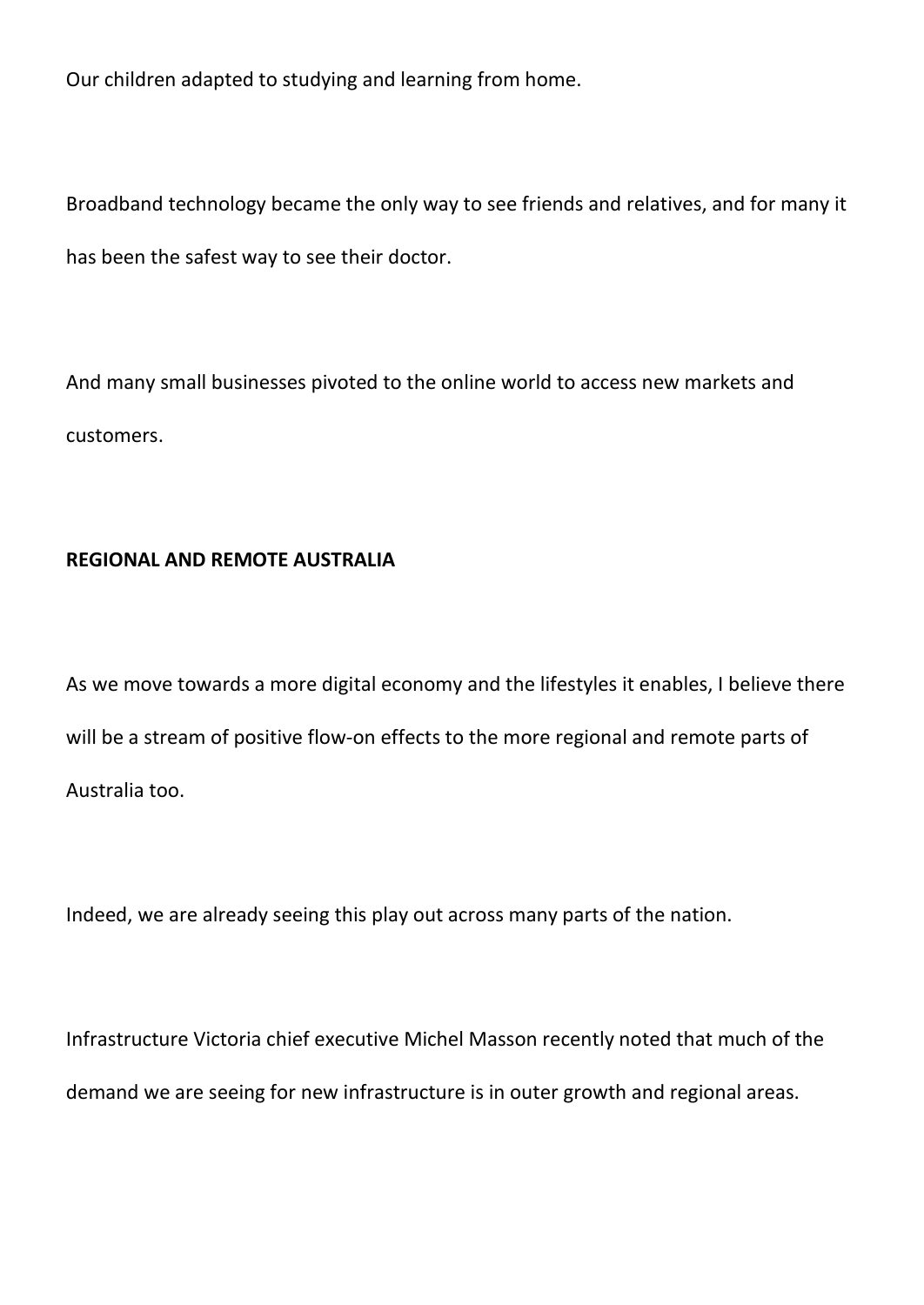Our children adapted to studying and learning from home.

Broadband technology became the only way to see friends and relatives, and for many it has been the safest way to see their doctor.

And many small businesses pivoted to the online world to access new markets and customers.

## **REGIONAL AND REMOTE AUSTRALIA**

As we move towards a more digital economy and the lifestyles it enables, I believe there will be a stream of positive flow-on effects to the more regional and remote parts of Australia too.

Indeed, we are already seeing this play out across many parts of the nation.

Infrastructure Victoria chief executive Michel Masson recently noted that much of the demand we are seeing for new infrastructure is in outer growth and regional areas.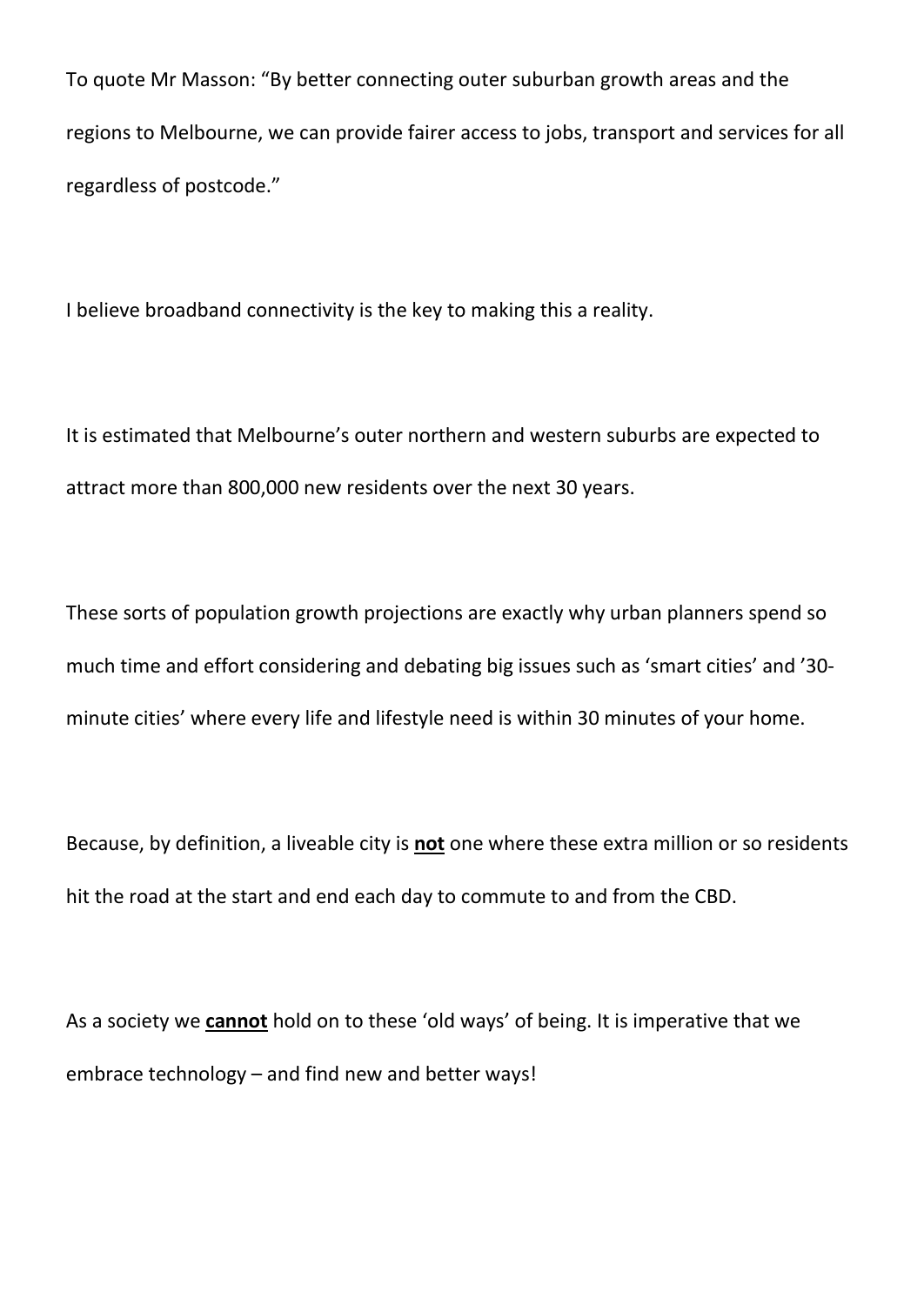To quote Mr Masson: "By better connecting outer suburban growth areas and the regions to Melbourne, we can provide fairer access to jobs, transport and services for all regardless of postcode."

I believe broadband connectivity is the key to making this a reality.

It is estimated that Melbourne's outer northern and western suburbs are expected to attract more than 800,000 new residents over the next 30 years.

These sorts of population growth projections are exactly why urban planners spend so much time and effort considering and debating big issues such as 'smart cities' and '30 minute cities' where every life and lifestyle need is within 30 minutes of your home.

Because, by definition, a liveable city is **not** one where these extra million or so residents hit the road at the start and end each day to commute to and from the CBD.

As a society we **cannot** hold on to these 'old ways' of being. It is imperative that we embrace technology – and find new and better ways!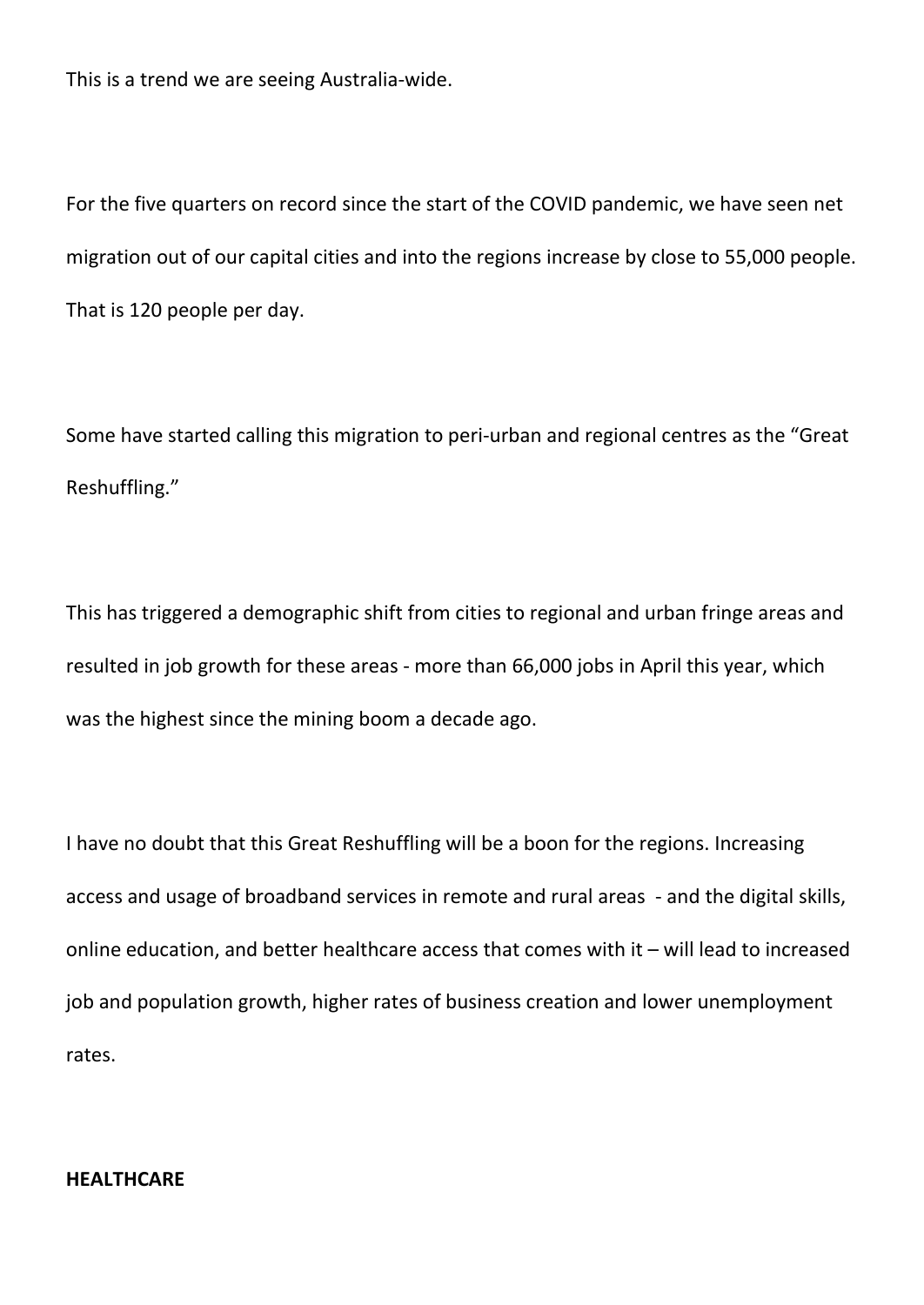This is a trend we are seeing Australia-wide.

For the five quarters on record since the start of the COVID pandemic, we have seen net migration out of our capital cities and into the regions increase by close to 55,000 people. That is 120 people per day.

Some have started calling this migration to peri-urban and regional centres as the "Great Reshuffling."

This has triggered a demographic shift from cities to regional and urban fringe areas and resulted in job growth for these areas - more than 66,000 jobs in April this year, which was the highest since the mining boom a decade ago.

I have no doubt that this Great Reshuffling will be a boon for the regions. Increasing access and usage of broadband services in remote and rural areas - and the digital skills, online education, and better healthcare access that comes with it – will lead to increased job and population growth, higher rates of business creation and lower unemployment rates.

#### **HEALTHCARE**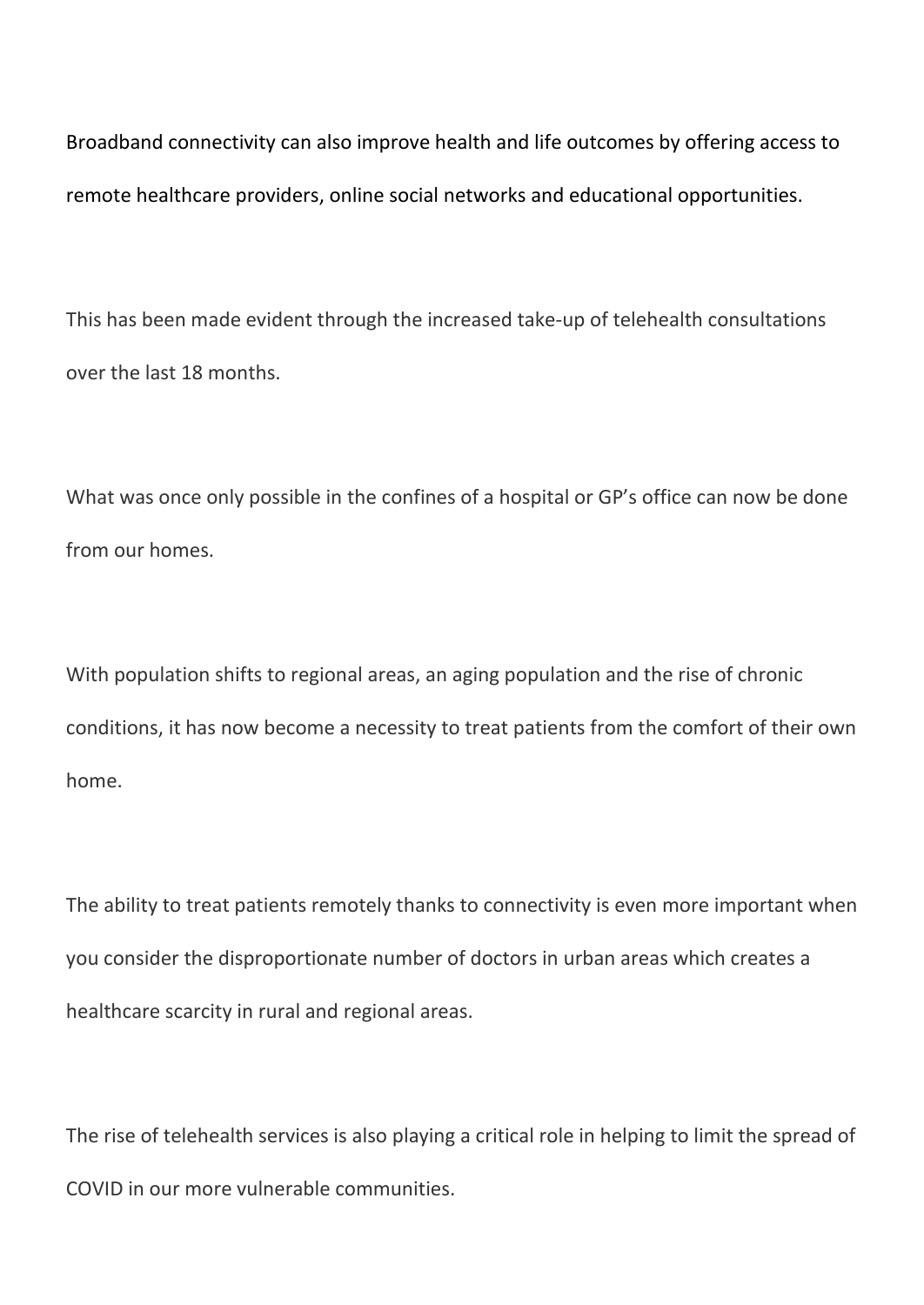Broadband connectivity can also improve health and life outcomes by offering access to remote healthcare providers, online social networks and educational opportunities.

This has been made evident through the increased take-up of telehealth consultations over the last 18 months.

What was once only possible in the confines of a hospital or GP's office can now be done from our homes.

With population shifts to regional areas, an aging population and the rise of chronic conditions, it has now become a necessity to treat patients from the comfort of their own home.

The ability to treat patients remotely thanks to connectivity is even more important when you consider the disproportionate number of doctors in urban areas which creates a healthcare scarcity in rural and regional areas.

The rise of telehealth services is also playing a critical role in helping to limit the spread of COVID in our more vulnerable communities.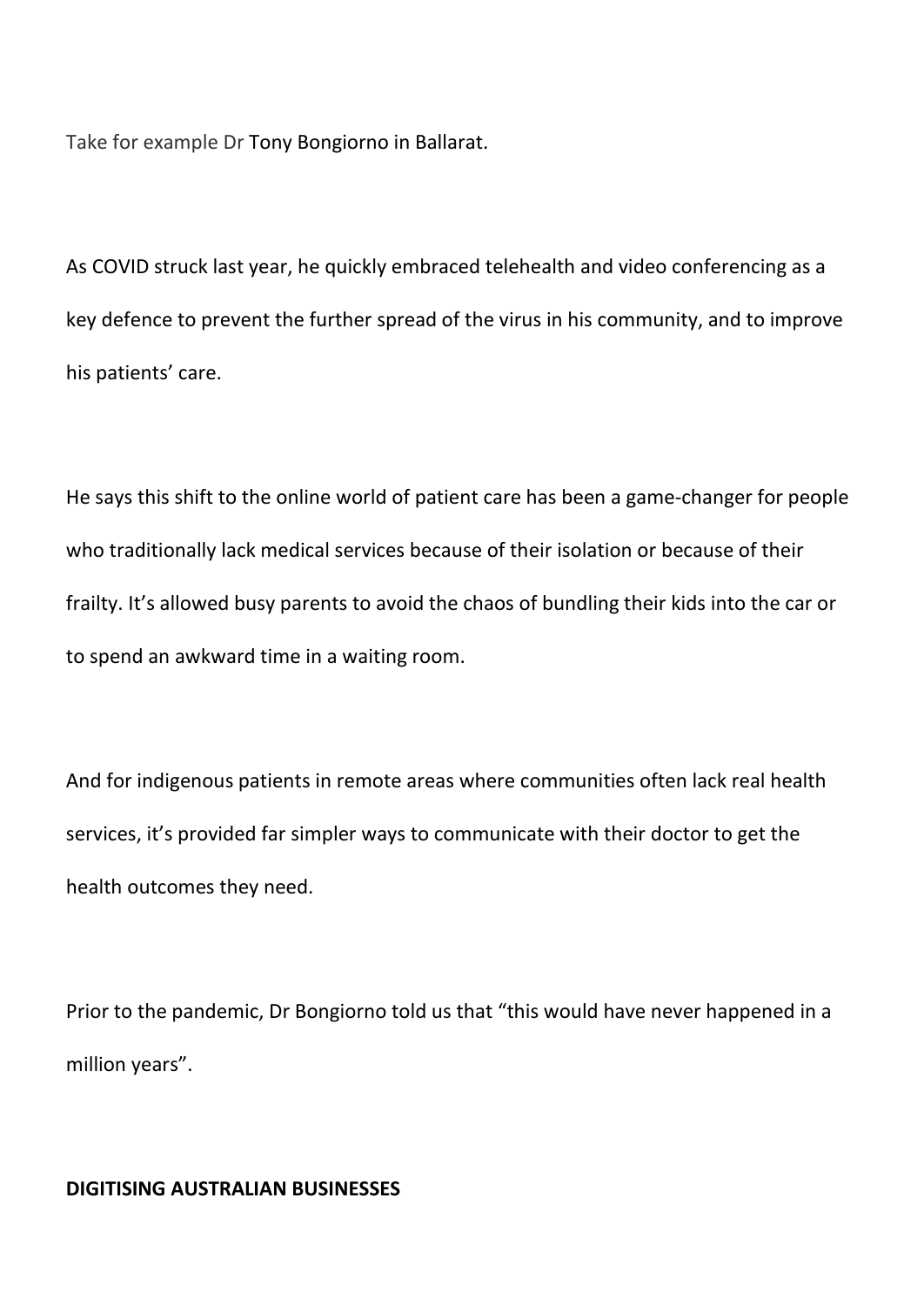Take for example Dr Tony Bongiorno in Ballarat.

As COVID struck last year, he quickly embraced telehealth and video conferencing as a key defence to prevent the further spread of the virus in his community, and to improve his patients' care.

He says this shift to the online world of patient care has been a game-changer for people who traditionally lack medical services because of their isolation or because of their frailty. It's allowed busy parents to avoid the chaos of bundling their kids into the car or to spend an awkward time in a waiting room.

And for indigenous patients in remote areas where communities often lack real health services, it's provided far simpler ways to communicate with their doctor to get the health outcomes they need.

Prior to the pandemic, Dr Bongiorno told us that "this would have never happened in a million years".

#### **DIGITISING AUSTRALIAN BUSINESSES**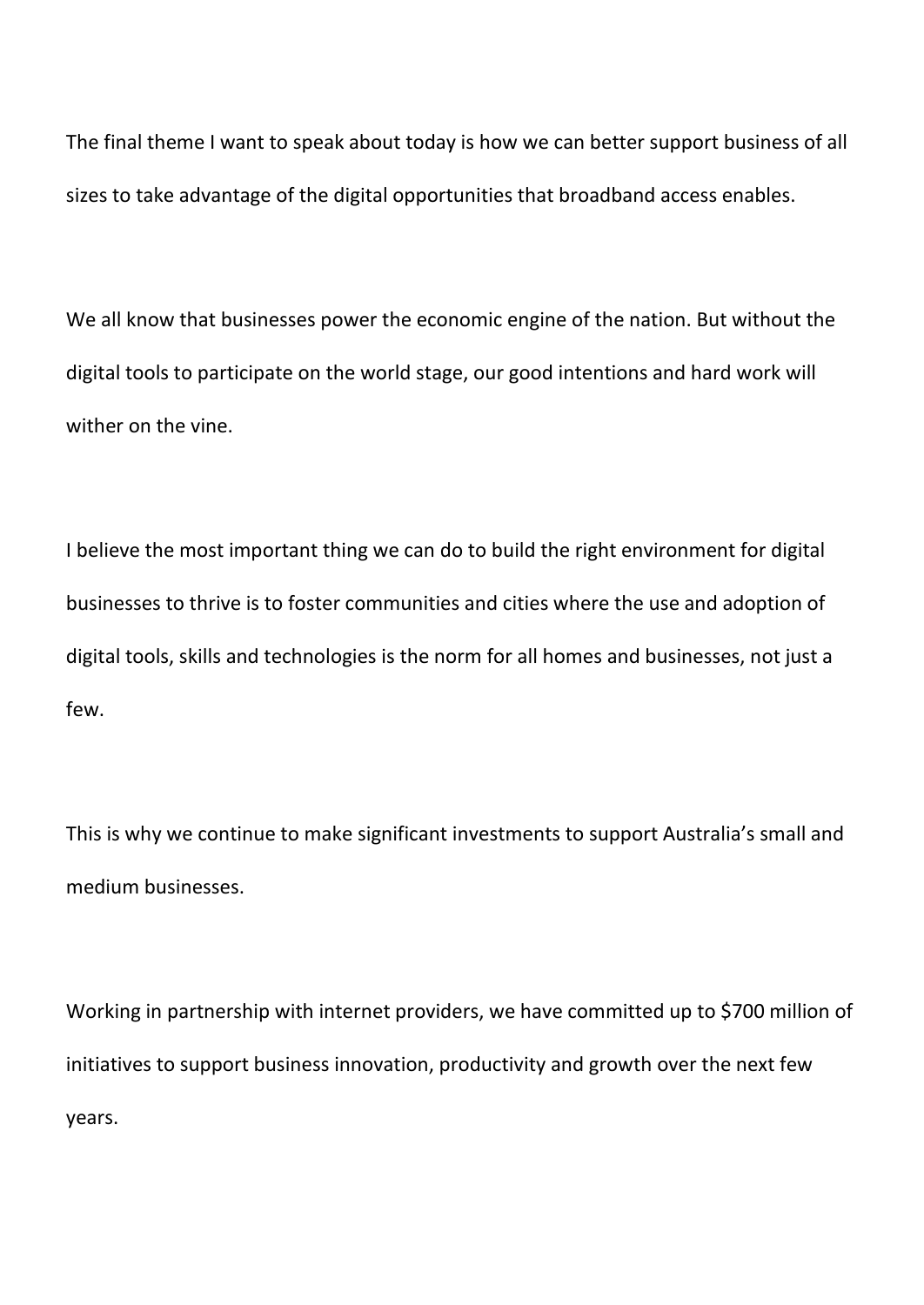The final theme I want to speak about today is how we can better support business of all sizes to take advantage of the digital opportunities that broadband access enables.

We all know that businesses power the economic engine of the nation. But without the digital tools to participate on the world stage, our good intentions and hard work will wither on the vine.

I believe the most important thing we can do to build the right environment for digital businesses to thrive is to foster communities and cities where the use and adoption of digital tools, skills and technologies is the norm for all homes and businesses, not just a few.

This is why we continue to make significant investments to support Australia's small and medium businesses.

Working in partnership with internet providers, we have committed up to \$700 million of initiatives to support business innovation, productivity and growth over the next few years.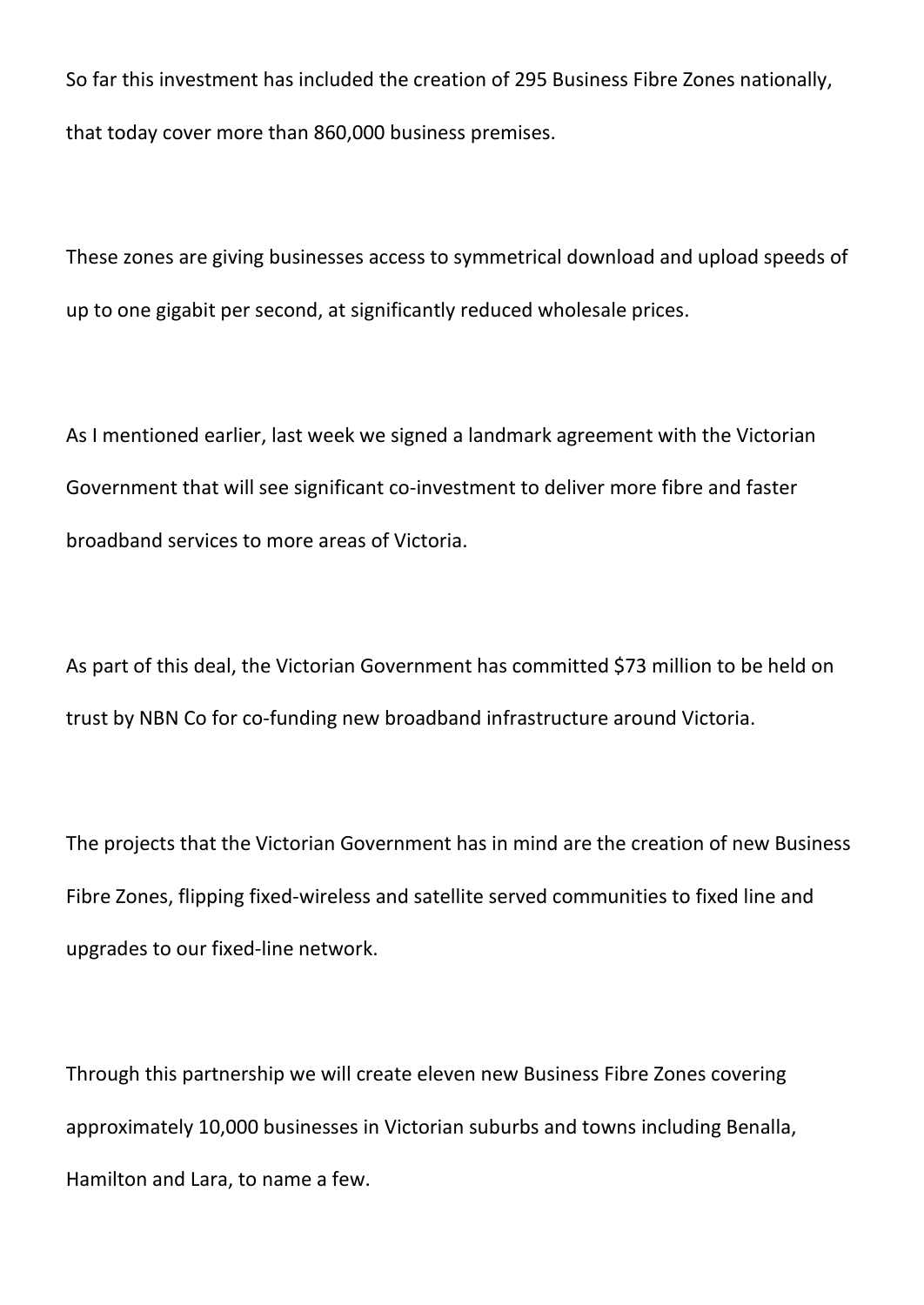So far this investment has included the creation of 295 Business Fibre Zones nationally, that today cover more than 860,000 business premises.

These zones are giving businesses access to symmetrical download and upload speeds of up to one gigabit per second, at significantly reduced wholesale prices.

As I mentioned earlier, last week we signed a landmark agreement with the Victorian Government that will see significant co-investment to deliver more fibre and faster broadband services to more areas of Victoria.

As part of this deal, the Victorian Government has committed \$73 million to be held on trust by NBN Co for co-funding new broadband infrastructure around Victoria.

The projects that the Victorian Government has in mind are the creation of new Business Fibre Zones, flipping fixed-wireless and satellite served communities to fixed line and upgrades to our fixed-line network.

Through this partnership we will create eleven new Business Fibre Zones covering approximately 10,000 businesses in Victorian suburbs and towns including Benalla, Hamilton and Lara, to name a few.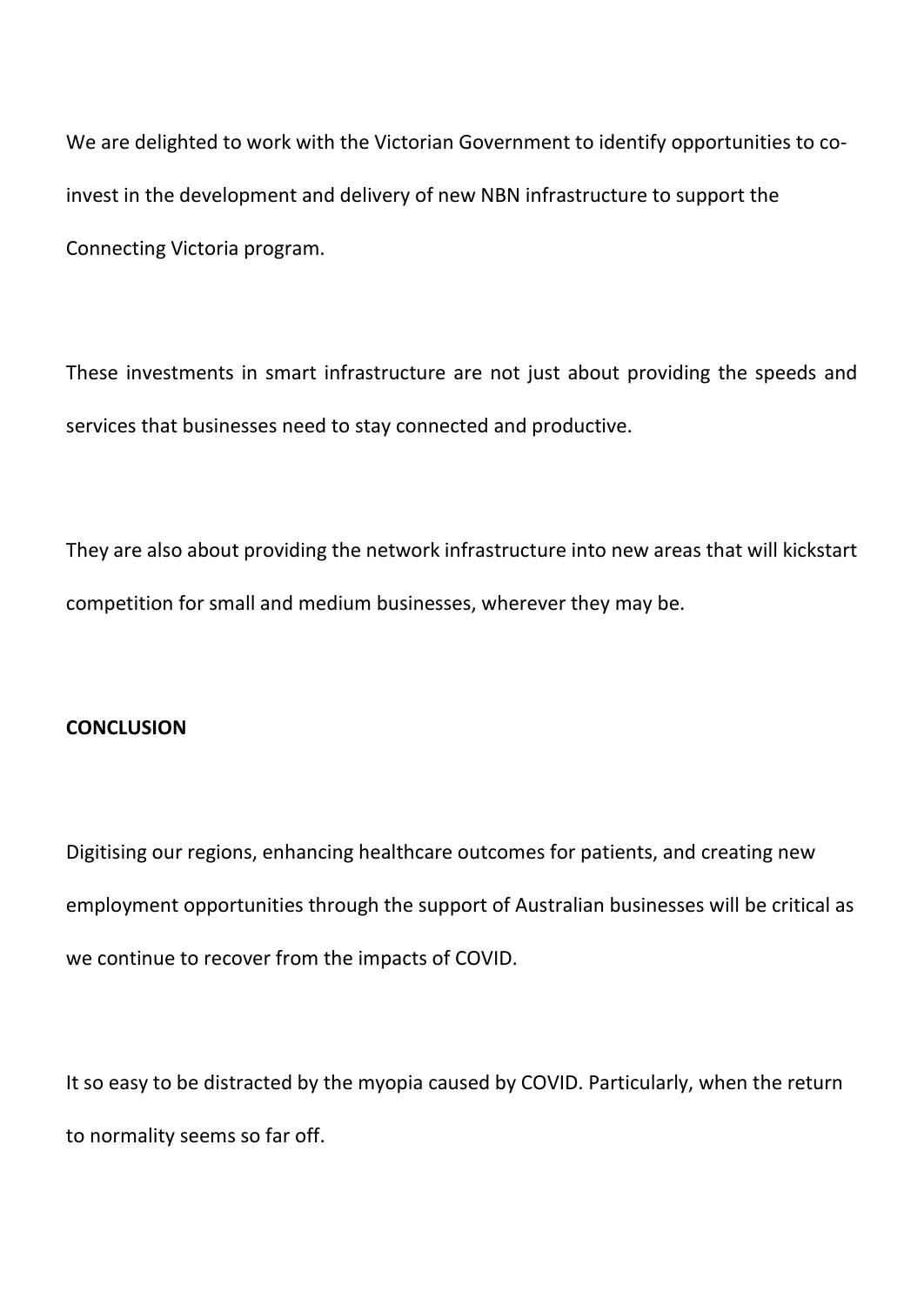We are delighted to work with the Victorian Government to identify opportunities to coinvest in the development and delivery of new NBN infrastructure to support the Connecting Victoria program.

These investments in smart infrastructure are not just about providing the speeds and services that businesses need to stay connected and productive.

They are also about providing the network infrastructure into new areas that will kickstart competition for small and medium businesses, wherever they may be.

## **CONCLUSION**

Digitising our regions, enhancing healthcare outcomes for patients, and creating new employment opportunities through the support of Australian businesses will be critical as we continue to recover from the impacts of COVID.

It so easy to be distracted by the myopia caused by COVID. Particularly, when the return to normality seems so far off.